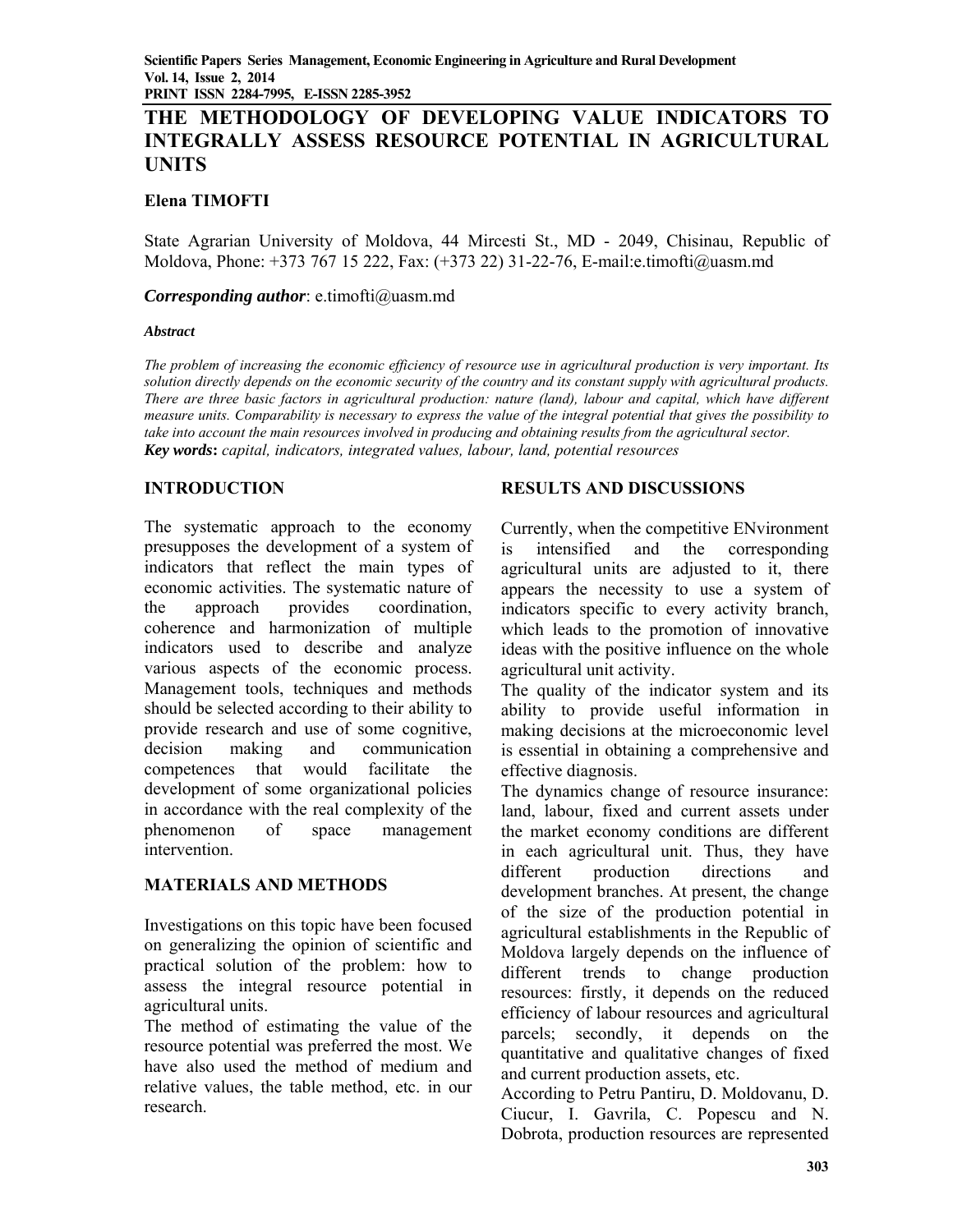# **THE METHODOLOGY OF DEVELOPING VALUE INDICATORS TO INTEGRALLY ASSESS RESOURCE POTENTIAL IN AGRICULTURAL UNITS**

### **Elena TIMOFTI**

State Agrarian University of Moldova, 44 Mircesti St., MD - 2049, Chisinau, Republic of Moldova, Phone: +373 767 15 222, Fax: (+373 22) 31-22-76, E-mail:e.timofti@uasm.md

#### *Corresponding author*: e.timofti@uasm.md

#### *Abstract*

*The problem of increasing the economic efficiency of resource use in agricultural production is very important. Its solution directly depends on the economic security of the country and its constant supply with agricultural products. There are three basic factors in agricultural production: nature (land), labour and capital, which have different measure units. Comparability is necessary to express the value of the integral potential that gives the possibility to*  take into account the main resources involved in producing and obtaining results from the agricultural sector. *Key words***:** *capital, indicators, integrated values, labour, land, potential resources* 

## **INTRODUCTION**

The systematic approach to the economy presupposes the development of a system of indicators that reflect the main types of economic activities. The systematic nature of the approach provides coordination, coherence and harmonization of multiple indicators used to describe and analyze various aspects of the economic process. Management tools, techniques and methods should be selected according to their ability to provide research and use of some cognitive, decision making and communication competences that would facilitate the development of some organizational policies in accordance with the real complexity of the phenomenon of space management intervention.

#### **MATERIALS AND METHODS**

Investigations on this topic have been focused on generalizing the opinion of scientific and practical solution of the problem: how to assess the integral resource potential in agricultural units.

The method of estimating the value of the resource potential was preferred the most. We have also used the method of medium and relative values, the table method, etc. in our research.

## **RESULTS AND DISCUSSIONS**

Currently, when the competitive ENvironment is intensified and the corresponding agricultural units are adjusted to it, there appears the necessity to use a system of indicators specific to every activity branch, which leads to the promotion of innovative ideas with the positive influence on the whole agricultural unit activity.

The quality of the indicator system and its ability to provide useful information in making decisions at the microeconomic level is essential in obtaining a comprehensive and effective diagnosis.

The dynamics change of resource insurance: land, labour, fixed and current assets under the market economy conditions are different in each agricultural unit. Thus, they have different production directions and development branches. At present, the change of the size of the production potential in agricultural establishments in the Republic of Moldova largely depends on the influence of different trends to change production resources: firstly, it depends on the reduced efficiency of labour resources and agricultural parcels; secondly, it depends on the quantitative and qualitative changes of fixed and current production assets, etc.

According to Petru Pantiru, D. Moldovanu, D. Ciucur, I. Gavrila, C. Popescu and N. Dobrota, production resources are represented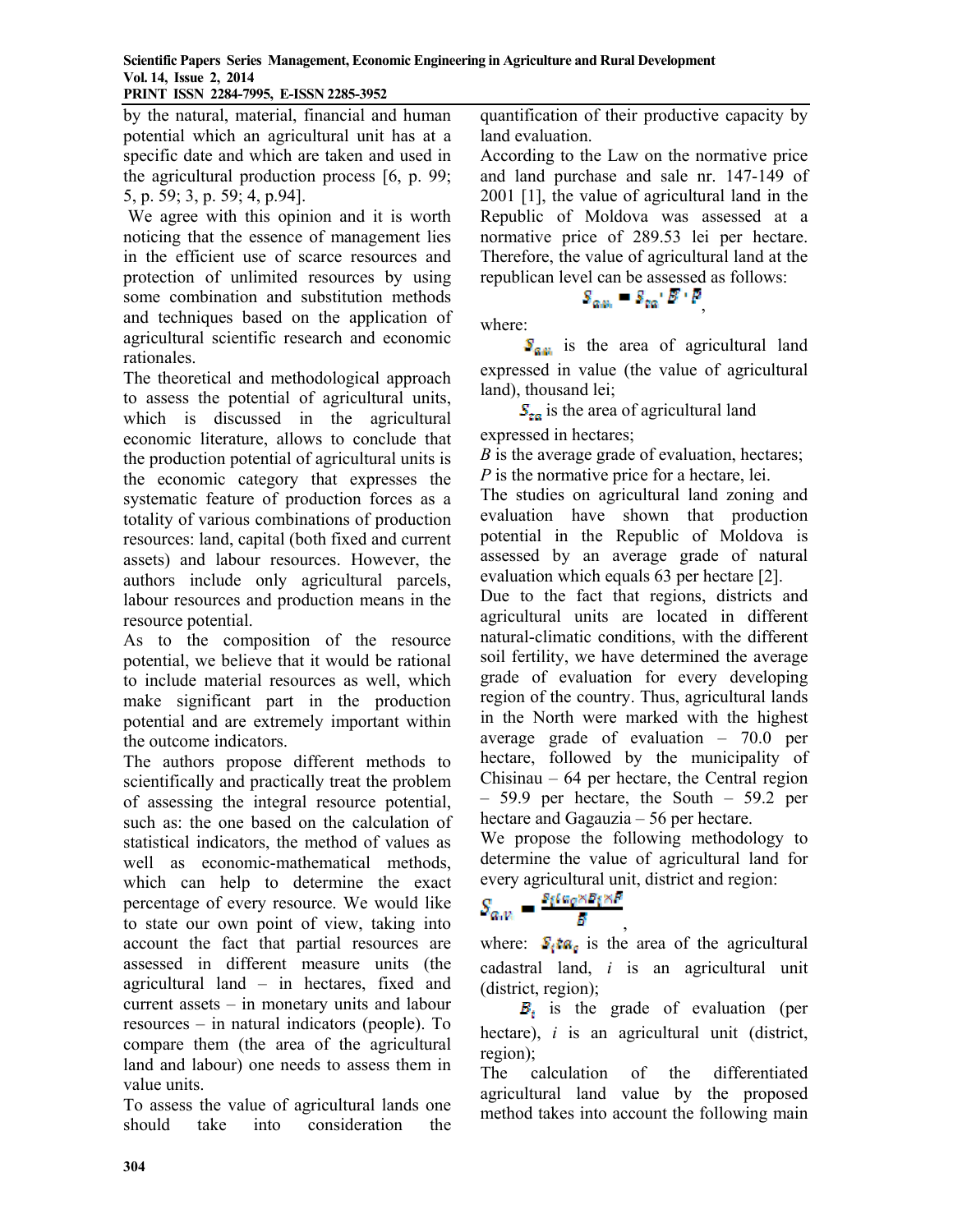by the natural, material, financial and human potential which an agricultural unit has at a specific date and which are taken and used in the agricultural production process [6, p. 99; 5, p. 59; 3, p. 59; 4, p.94].

 We agree with this opinion and it is worth noticing that the essence of management lies in the efficient use of scarce resources and protection of unlimited resources by using some combination and substitution methods and techniques based on the application of agricultural scientific research and economic rationales.

The theoretical and methodological approach to assess the potential of agricultural units, which is discussed in the agricultural economic literature, allows to conclude that the production potential of agricultural units is the economic category that expresses the systematic feature of production forces as a totality of various combinations of production resources: land, capital (both fixed and current assets) and labour resources. However, the authors include only agricultural parcels, labour resources and production means in the resource potential.

As to the composition of the resource potential, we believe that it would be rational to include material resources as well, which make significant part in the production potential and are extremely important within the outcome indicators.

The authors propose different methods to scientifically and practically treat the problem of assessing the integral resource potential, such as: the one based on the calculation of statistical indicators, the method of values as well as economic-mathematical methods, which can help to determine the exact percentage of every resource. We would like to state our own point of view, taking into account the fact that partial resources are assessed in different measure units (the agricultural land – in hectares, fixed and current assets – in monetary units and labour resources – in natural indicators (people). To compare them (the area of the agricultural land and labour) one needs to assess them in value units.

To assess the value of agricultural lands one should take into consideration the quantification of their productive capacity by land evaluation.

According to the Law on the normative price and land purchase and sale nr. 147-149 of 2001 [1], the value of agricultural land in the Republic of Moldova was assessed at a normative price of 289.53 lei per hectare. Therefore, the value of agricultural land at the republican level can be assessed as follows:

# $S_{\alpha\mu} = S_{\alpha\alpha'} B' \cdot P$

where:

 $S_{\alpha}$  is the area of agricultural land expressed in value (the value of agricultural land), thousand lei;

 $S_{\text{tan}}$  is the area of agricultural land expressed in hectares;

*B* is the average grade of evaluation, hectares; *P* is the normative price for a hectare, lei.

The studies on agricultural land zoning and evaluation have shown that production potential in the Republic of Moldova is assessed by an average grade of natural evaluation which equals 63 per hectare [2].

Due to the fact that regions, districts and agricultural units are located in different natural-climatic conditions, with the different soil fertility, we have determined the average grade of evaluation for every developing region of the country. Thus, agricultural lands in the North were marked with the highest average grade of evaluation – 70.0 per hectare, followed by the municipality of Chisinau – 64 per hectare, the Central region – 59.9 per hectare, the South – 59.2 per hectare and Gagauzia – 56 per hectare.

We propose the following methodology to determine the value of agricultural land for every agricultural unit, district and region:

$$
S_{a,n} = \frac{s_i \iota_{a_0} \times b_i \times P}{s}
$$

, where:  $S_i$ ta<sub>c</sub> is the area of the agricultural cadastral land, *i* is an agricultural unit (district, region);

 $B_i$  is the grade of evaluation (per hectare), *i* is an agricultural unit (district, region);

The calculation of the differentiated agricultural land value by the proposed method takes into account the following main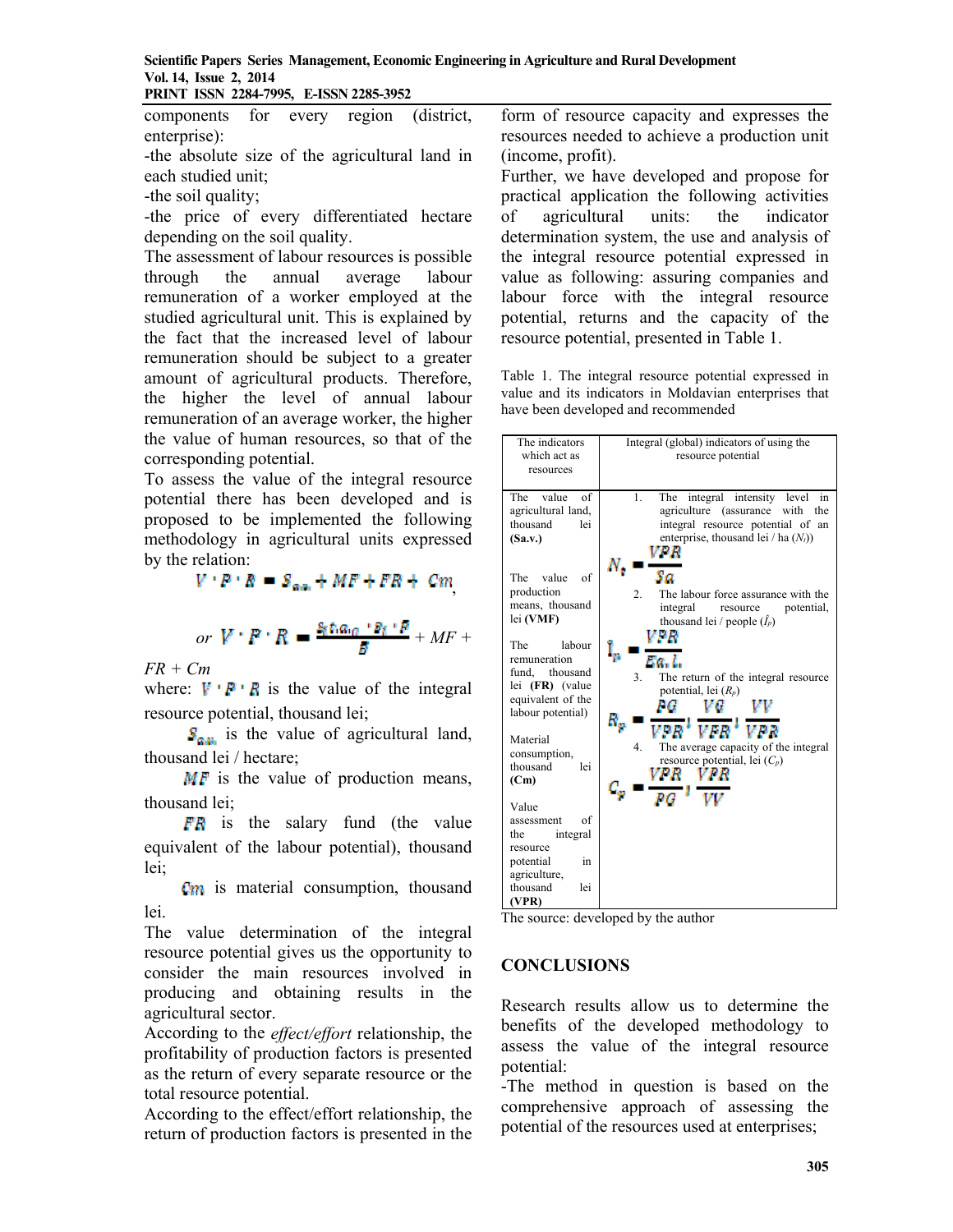components for every region (district, enterprise):

-the absolute size of the agricultural land in each studied unit;

-the soil quality;

-the price of every differentiated hectare depending on the soil quality.

The assessment of labour resources is possible through the annual average labour remuneration of a worker employed at the studied agricultural unit. This is explained by the fact that the increased level of labour remuneration should be subject to a greater amount of agricultural products. Therefore, the higher the level of annual labour remuneration of an average worker, the higher the value of human resources, so that of the corresponding potential.

To assess the value of the integral resource potential there has been developed and is proposed to be implemented the following methodology in agricultural units expressed by the relation:

 $V \cdot P \cdot R = S_{\alpha\alpha} + MF + FR + Cm$ 

$$
or~V: R \twoheadrightarrow \frac{s_t s_{\alpha_0} \cdot s_t \cdot p}{s} + MF +
$$

*FR + Cm*

where:  $V \nvert R \nvert R$  is the value of the integral resource potential, thousand lei;

 $S_{\alpha}$  is the value of agricultural land, thousand lei / hectare;

 $MF$  is the value of production means, thousand lei;

 $FR$  is the salary fund (the value equivalent of the labour potential), thousand lei;

**C**<sub>m</sub> is material consumption, thousand lei.

The value determination of the integral resource potential gives us the opportunity to consider the main resources involved in producing and obtaining results in the agricultural sector.

According to the *effect/effort* relationship, the profitability of production factors is presented as the return of every separate resource or the total resource potential.

According to the effect/effort relationship, the return of production factors is presented in the

form of resource capacity and expresses the resources needed to achieve a production unit (income, profit).

Further, we have developed and propose for practical application the following activities of agricultural units: the indicator determination system, the use and analysis of the integral resource potential expressed in value as following: assuring companies and labour force with the integral resource potential, returns and the capacity of the resource potential, presented in Table 1.

Table 1. The integral resource potential expressed in value and its indicators in Moldavian enterprises that have been developed and recommended



The source: developed by the author

# **CONCLUSIONS**

Research results allow us to determine the benefits of the developed methodology to assess the value of the integral resource potential:

-The method in question is based on the comprehensive approach of assessing the potential of the resources used at enterprises;